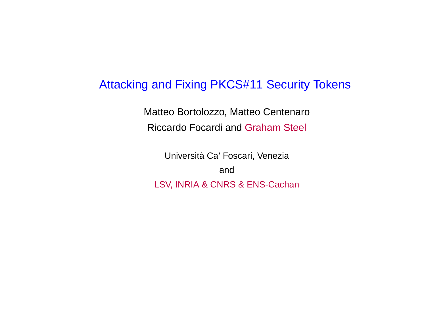#### Attacking and Fixing PKCS#11 Security Tokens

Matteo Bortolozzo, Matteo CentenaroRiccardo Focardi and Graham Steel

Università Ca' Foscari, Venezia andLSV, INRIA & CNRS & ENS-Cachan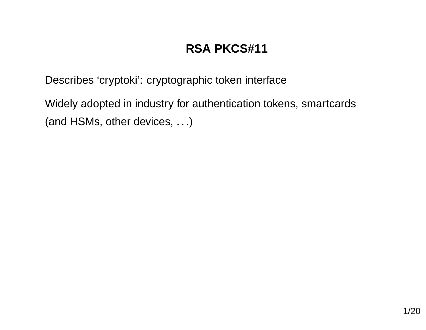## **RSA PKCS#11**

Describes 'cryptoki': cryptographic token interface

Widely adopted in industry for authentication tokens, smartcards(and HSMs, other devices, ...)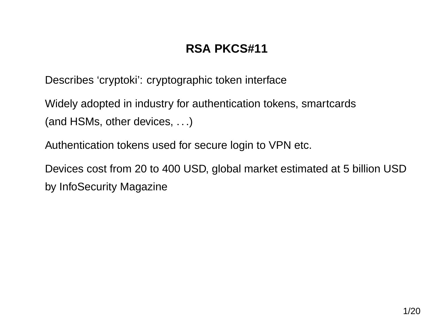## **RSA PKCS#11**

Describes 'cryptoki': cryptographic token interface

Widely adopted in industry for authentication tokens, smartcards(and HSMs, other devices, ...)

Authentication tokens used for secure login to VPN etc.

Devices cost from 20 to 400 USD, global market estimated at <sup>5</sup> billion USDby InfoSecurity Magazine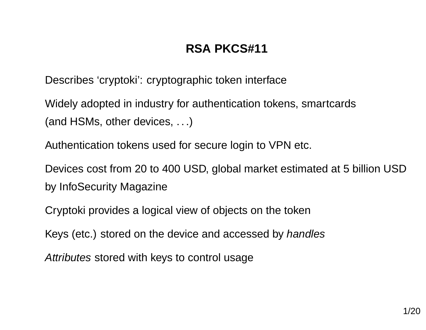## **RSA PKCS#11**

Describes 'cryptoki': cryptographic token interface

Widely adopted in industry for authentication tokens, smartcards(and HSMs, other devices, ...)

Authentication tokens used for secure login to VPN etc.

Devices cost from 20 to 400 USD, global market estimated at <sup>5</sup> billion USDby InfoSecurity Magazine

Cryptoki provides <sup>a</sup> logical view of objects on the token

Keys (etc.) stored on the device and accessed by *handles* 

A*ttributes* stored with keys to control usage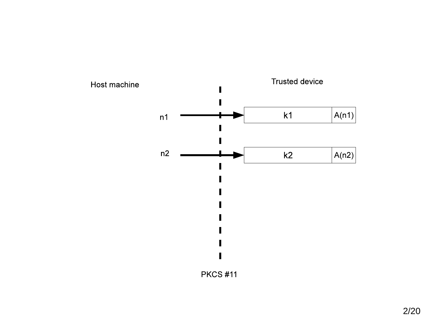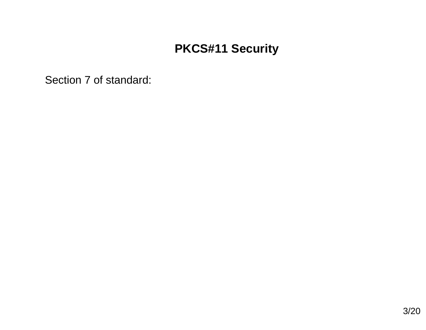Section <sup>7</sup> of standard: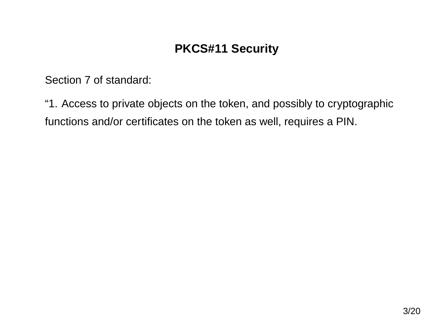Section <sup>7</sup> of standard:

"1. Access to private objects on the token, and possibly to cryptographicfunctions and/or certificates on the token as well, requires <sup>a</sup> PIN.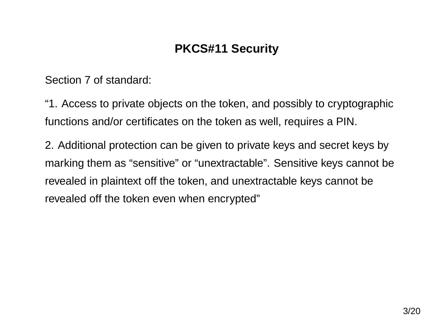Section <sup>7</sup> of standard:

"1. Access to private objects on the token, and possibly to cryptographicfunctions and/or certificates on the token as well, requires <sup>a</sup> PIN.

2. Additional protection can be given to private keys and secret keys bymarking them as "sensitive" or "unextractable". Sensitive keys cannot berevealed in plaintext off the token, and unextractable keys cannot berevealed off the token even when encrypted"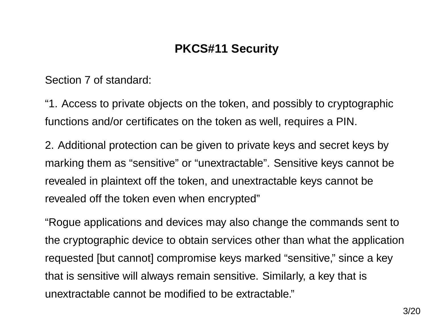Section <sup>7</sup> of standard:

"1. Access to private objects on the token, and possibly to cryptographicfunctions and/or certificates on the token as well, requires <sup>a</sup> PIN.

2. Additional protection can be given to private keys and secret keys bymarking them as "sensitive" or "unextractable". Sensitive keys cannot berevealed in plaintext off the token, and unextractable keys cannot berevealed off the token even when encrypted"

"Rogue applications and devices may also change the commands sent tothe cryptographic device to obtain services other than what the applicationrequested [but cannot] compromise keys marked "sensitive," since <sup>a</sup> keythat is sensitive will always remain sensitive. Similarly, <sup>a</sup> key that isunextractable cannot be modified to be extractable."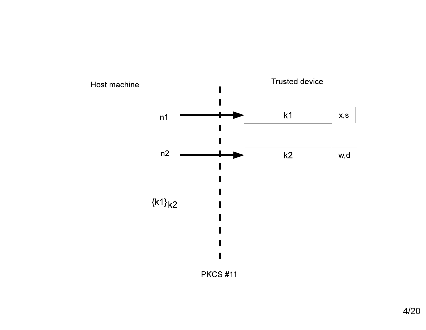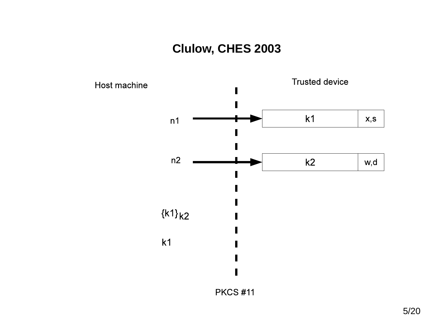## **Clulow, CHES 2003**

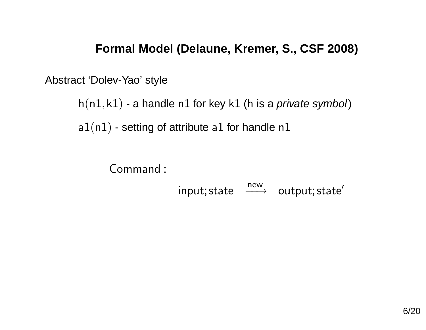#### **Formal Model (Delaune, Kremer, S., CSF 2008)**

Abstract 'Dolev-Yao' style

 $\mathsf{h}(\mathsf{n} 1,\mathsf{k} 1)$  - a handle  $\mathsf{n} 1$  for key  $\mathsf{k} 1$  (h is a *private symbol*)

<code>a1(n1)</code> - setting of attribute <code>a1</code> for handle <code>n1</code>

```
Command :
                       \mathsf{input} ; \mathsf{state} \quad \xrightarrow{\mathsf{new}} \quad \mathsf{output} ; \mathsf{state}'
```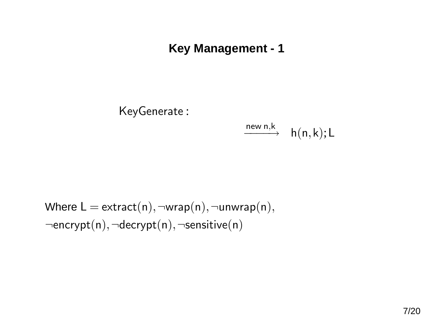### **Key Management - 1**

KeyGenerate :

$$
\xrightarrow{\mathsf{new}\; \mathsf{n}, \mathsf{k}} \quad \mathsf{h}(\mathsf{n},\mathsf{k}); \mathsf{L}
$$

 $\mathsf{Where}\ \mathsf{L}=\mathsf{extract(n)},\neg\mathsf{wrap(n)},\neg\mathsf{unwrap(n)},$ <sup>¬</sup>encrypt(n),<sup>¬</sup>decrypt(n),<sup>¬</sup>sensitive(n)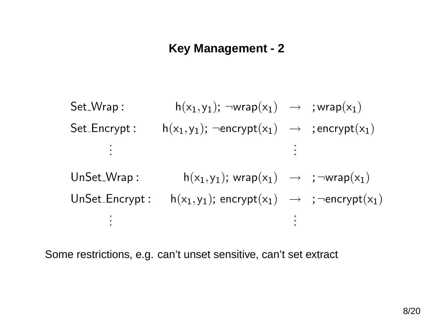### **Key Management - 2**

Set Wrap $p: h(x_1,y_1); \neg wrap(x_1) \rightarrow ; wrap(x_1)$  $\mathsf{Set\_Encrypt:}\qquad \mathsf{h}(\mathsf{x}_1,\mathsf{y}_1);\neg \mathsf{encrypt}(\mathsf{x}_1)\;\;\rightarrow\;\;\mathsf{;} \mathsf{encrypt}(\mathsf{x}_1)$ . .  $\mathsf{UnSet\_Wrap:}\qquad\qquad \mathsf{h}(\mathsf{x}_1,\mathsf{y}_1);\,\mathsf{wrap}(\mathsf{x}_1)\;\;\rightarrow\;\;;\neg\mathsf{wrap}(\mathsf{x}_1)$  $\mathsf{UnSet\_Encrypt:} \quad \mathsf{h}(\mathsf{x}_1,\mathsf{y}_1); \, \mathsf{encrypt}(\mathsf{x}_1) \; \; \rightarrow \; \; ; \neg \mathsf{encrypt}(\mathsf{x}_1)$ 

Some restrictions, e.g. can't unset sensitive, can't set extract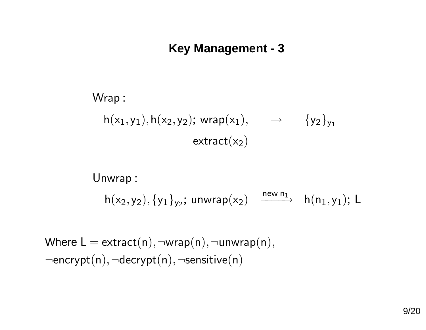### **Key Management - 3**

Wrap :  $h(x_1,y_1), h(x_2,y_2)$ ; wrap $(x_1), \longrightarrow \{y_2\}_{y_1}$  $extract(x<sub>2</sub>)$ 

Unwrap :  $h(x_2,y_2), \{y_1\}_{y_2}$ ; unwrap $(x_2)$   $\xrightarrow{\text{new n}_1}$   $h(n_1,y_1)$ ; L

 $\mathsf{Where}\ \mathsf{L} = \mathsf{extract(n)}, \neg \mathsf{wrap(n)}, \neg \mathsf{unwrap(n)},$  $\lnot$ encrypt(n), $\lnot$ decrypt(n), $\lnot$ sensitive(n)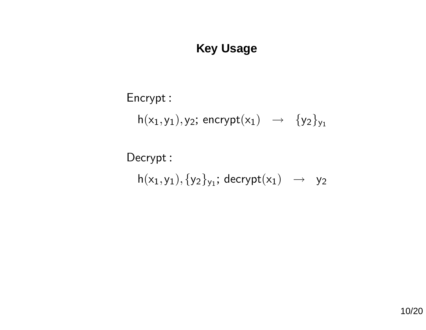## **Key Usage**

## Encrypt :

 $h(x_1,y_1),y_2;$  encrypt $(x_1) \rightarrow \{y_2\}_{y_1}$ 

Decrypt :  $h(x_1,y_1),\{y_2\}_{y_1}$ ; decrypt $(x_1) \rightarrow y_2$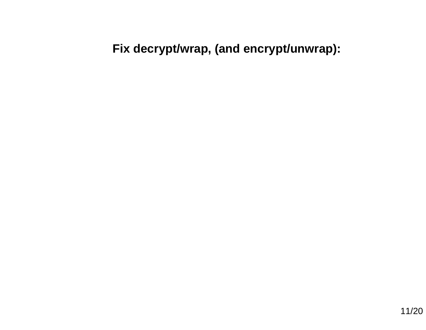## **Fix decrypt/wrap, (and encrypt/unwrap):**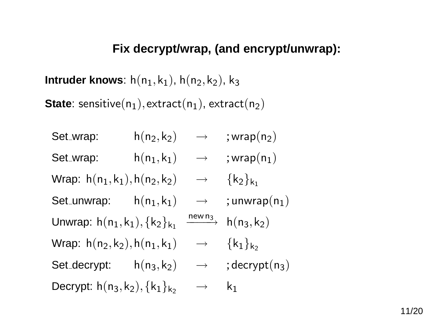#### **Fix decrypt/wrap, (and encrypt/unwrap):**

 $\blacksquare$ **htruder knows**:  $\mathsf{h}(\mathsf{n}_1,\mathsf{k}_1)$ ,  $\mathsf{h}(\mathsf{n}_2,\mathsf{k}_2)$ ,  $\mathsf{k}_3$ 

 $\textsf{State:} \ \textsf{ sensitive}(\mathsf{n}_1), \textsf{extract}(\mathsf{n}_1), \textsf{extract}(\mathsf{n}_2)$ 

Set\_wrap:  $h(n_2, k_2) \rightarrow$  ;wrap $(n_2)$ Set\_wrap:  $h(n_1,k_1) \rightarrow$  ;wrap $(n_1)$ Wrap:  $h(n_1, k_1), h(n_2, k_2) \rightarrow {k_2}_{k_1}$  $\mathsf{Set\_unwrap:}\qquad \mathsf{h}(\mathsf{n}_1,\mathsf{k}_1)\quad\mathrel{\longrightarrow}\quad;\mathsf{unwrap}(\mathsf{n}_1)$ Unwrap:  $\mathsf{h}(\mathsf{n}_1,\mathsf{k}_1),\{\mathsf{k}_2\}_{\mathsf{k}_1}$  $\xrightarrow{\text{new n}_3} \text{h}(n_3,k_2)$ Wrap:  $h(n_2, k_2), h(n_1, k_1) \rightarrow {k_1}_{k_2}$ Set\_decrypt:  $h(n_3, k_2) \rightarrow$  ;decrypt(n<sub>3</sub>) Decrypt: h $(\mathsf{n}_3,\mathsf{k}_2),\{\mathsf{k}_1\}_{\mathsf{k}_2}$   $\quad\rightarrow\quad\mathsf{k}_1$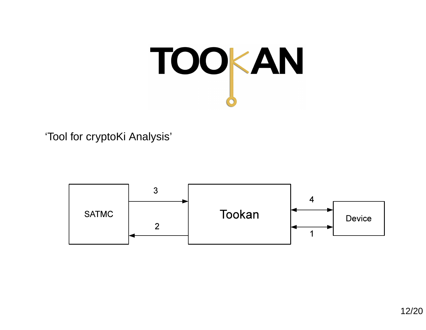

'Tool for cryptoKi Analysis'

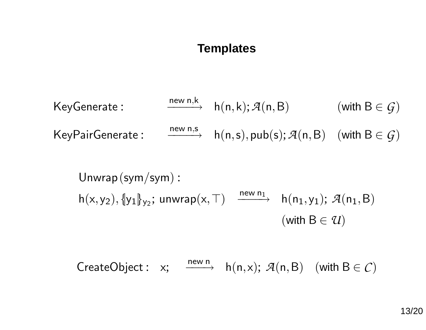#### **Templates**

KeyGenerate : 
$$
\xrightarrow{\text{new } n,k} h(n,k); \mathcal{A}(n,B)
$$
 (with  $B \in \mathcal{G}$ )  
KeyPairGenerate :  $\xrightarrow{\text{new } n,s} h(n,s), \text{pub}(s); \mathcal{A}(n,B)$  (with  $B \in \mathcal{G}$ )

Unwrap(sym/sym) :  $h(x,y_2), \{y_1\}_{y_2}$ ; unwrap $(x,\top)$   $\xrightarrow{\text{new }n_1}$   $h(n_1,y_1)$ ;  $\mathcal{A}(n_1,B)$  $(\textsf{with } B \in \mathcal{U})$ 

CreateObject : x;  $\xrightarrow{\text{new n}}$  h(n,x);  $\mathcal{A}(n,B)$  (with  $B \in \mathcal{C}$ )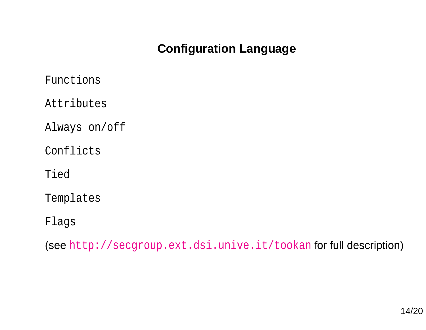## **Configuration Language**

Functions

Attributes

Always on/off

Conflicts

Tied

Templates

Flags

 $(\operatorname{\textsf{see}\,}{} \text{http://secgroup.ext.dsi.unive.it/tookan}$  $(\operatorname{\textsf{see}\,}{} \text{http://secgroup.ext.dsi.unive.it/tookan}$  $(\operatorname{\textsf{see}\,}{} \text{http://secgroup.ext.dsi.unive.it/tookan}$  $(\operatorname{\textsf{see}\,}{} \text{http://secgroup.ext.dsi.unive.it/tookan}$  $(\operatorname{\textsf{see}\,}{} \text{http://secgroup.ext.dsi.unive.it/tookan}$  $(\operatorname{\textsf{see}\,}{} \text{http://secgroup.ext.dsi.unive.it/tookan}$  $(\operatorname{\textsf{see}\,}{} \text{http://secgroup.ext.dsi.unive.it/tookan}$  $(\operatorname{\textsf{see}\,}{} \text{http://secgroup.ext.dsi.unive.it/tookan}$  $(\operatorname{\textsf{see}\,}{} \text{http://secgroup.ext.dsi.unive.it/tookan}$  $(\operatorname{\textsf{see}\,}{} \text{http://secgroup.ext.dsi.unive.it/tookan}$  $(\operatorname{\textsf{see}\,}{} \text{http://secgroup.ext.dsi.unive.it/tookan}$  for full  $\operatorname{\textsf{description}})$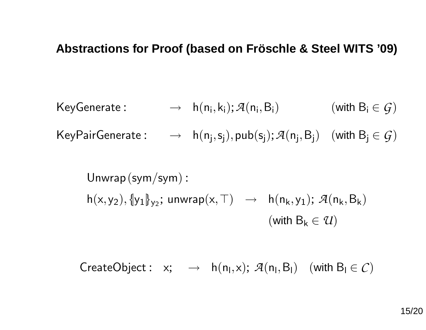### **Abstractions for Proof (based on Froschle & Steel WITS '09) ¨**

KeyGenerate: 
$$
\rightarrow h(n_i,k_i); \mathcal{A}(n_i,B_i)
$$
 (with  $B_i \in \mathcal{G}$ )

 $\mathsf{KeyPairGenerator:}\quad\rightarrow\quad \mathsf{h}(\mathsf{n_j},\mathsf{s_j}),\mathsf{pub}(\mathsf{s_j});\mathcal{A}(\mathsf{n_j},\mathsf{B_j})\quad(\mathsf{with}\;\mathsf{B_j}\in\mathcal{G})$ 

Unwrap(sym/sym) :  $\mathsf{h}(\mathsf{x},\mathsf{y}_2),\{\!\!\{\mathsf{y}_1\!\!\}_{\mathsf{y}_2}; \, \mathsf{unwrap}(\mathsf{x},\top) \;\;\rightarrow\;\; \mathsf{h}(\mathsf{n_k},\mathsf{y}_1);\, \mathcal{A}(\mathsf{n_k},\mathsf{B_k})$  $(\mathsf{with}\ \mathsf{B_k} \in \mathcal{U})$ 

 $\mathsf{CreateObject}: \; \; \mathsf{x}; \;\;\;\rightarrow\;\; \mathsf{h}(\mathsf{n}_\mathsf{I},\mathsf{x}); \; \mathcal{A}(\mathsf{n}_\mathsf{I},\mathsf{B}_\mathsf{I}) \quad (\textsf{with } \mathsf{B}_\mathsf{I} \in \mathcal{C})$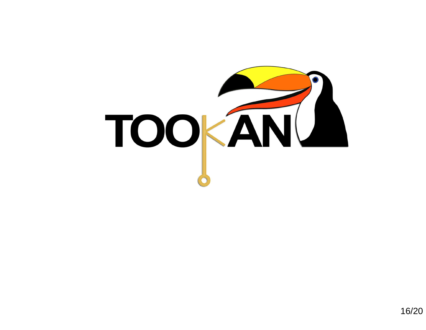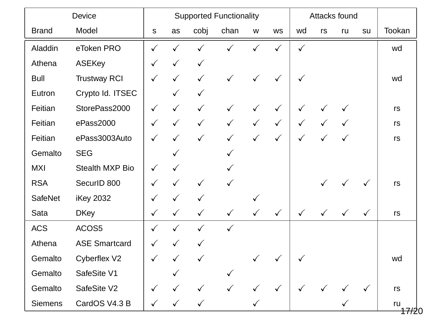| <b>Device</b>  |                        | <b>Supported Functionality</b> |              |              |              |              |              | Attacks found |              |              |              |                         |
|----------------|------------------------|--------------------------------|--------------|--------------|--------------|--------------|--------------|---------------|--------------|--------------|--------------|-------------------------|
| <b>Brand</b>   | Model                  | S                              | as           | cobj         | chan         | W            | <b>WS</b>    | wd            | rs           | ru           | su           | Tookan                  |
| Aladdin        | eToken PRO             | $\checkmark$                   |              | ✓            | $\checkmark$ |              |              | $\checkmark$  |              |              |              | wd                      |
| Athena         | <b>ASEKey</b>          | $\checkmark$                   | $\checkmark$ | $\checkmark$ |              |              |              |               |              |              |              |                         |
| <b>Bull</b>    | <b>Trustway RCI</b>    | $\checkmark$                   | $\checkmark$ | $\checkmark$ | $\checkmark$ | $\checkmark$ | $\checkmark$ | $\checkmark$  |              |              |              | wd                      |
| Eutron         | Crypto Id. ITSEC       |                                | $\checkmark$ | $\checkmark$ |              |              |              |               |              |              |              |                         |
| Feitian        | StorePass2000          | $\checkmark$                   | $\checkmark$ | $\checkmark$ | $\checkmark$ | $\checkmark$ | $\checkmark$ | $\checkmark$  |              |              |              | rs                      |
| Feitian        | ePass2000              | $\checkmark$                   | $\checkmark$ | $\checkmark$ | $\checkmark$ |              | $\checkmark$ | $\checkmark$  |              |              |              | rs                      |
| Feitian        | ePass3003Auto          | $\checkmark$                   | $\checkmark$ | $\checkmark$ | $\checkmark$ | $\checkmark$ | $\checkmark$ | $\checkmark$  | ✓            | $\checkmark$ |              | rs                      |
| Gemalto        | <b>SEG</b>             |                                |              |              | $\checkmark$ |              |              |               |              |              |              |                         |
| <b>MXI</b>     | <b>Stealth MXP Bio</b> | $\checkmark$                   | $\checkmark$ |              |              |              |              |               |              |              |              |                         |
| <b>RSA</b>     | SecurID 800            | $\checkmark$                   | $\checkmark$ | $\checkmark$ | $\checkmark$ |              |              |               | $\checkmark$ | $\checkmark$ | $\checkmark$ | rs                      |
| <b>SafeNet</b> | <b>iKey 2032</b>       | $\checkmark$                   | $\checkmark$ | $\checkmark$ |              |              |              |               |              |              |              |                         |
| Sata           | <b>DKey</b>            | $\checkmark$                   | $\checkmark$ | $\checkmark$ | $\checkmark$ | $\checkmark$ | $\checkmark$ | $\checkmark$  | $\checkmark$ | $\checkmark$ | $\checkmark$ | rs                      |
| <b>ACS</b>     | ACOS5                  | $\checkmark$                   | $\checkmark$ | $\checkmark$ | $\checkmark$ |              |              |               |              |              |              |                         |
| Athena         | <b>ASE Smartcard</b>   | $\checkmark$                   | $\checkmark$ | $\checkmark$ |              |              |              |               |              |              |              |                         |
| Gemalto        | <b>Cyberflex V2</b>    | $\checkmark$                   |              |              |              |              |              |               |              |              |              | wd                      |
| Gemalto        | SafeSite V1            |                                |              |              |              |              |              |               |              |              |              |                         |
| Gemalto        | SafeSite V2            | $\checkmark$                   |              |              |              |              |              |               |              |              |              | rs                      |
| <b>Siemens</b> | CardOS V4.3 B          |                                |              | $\checkmark$ |              |              |              |               |              |              |              | ru<br><del>17/2</del> 0 |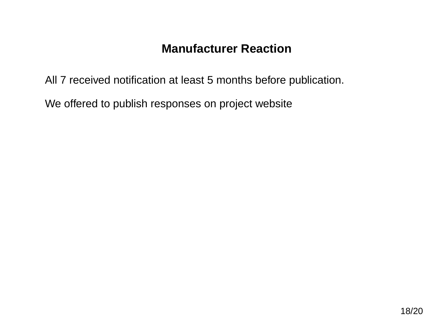All <sup>7</sup> received notification at least 5 months before publication.

We offered to publish responses on project website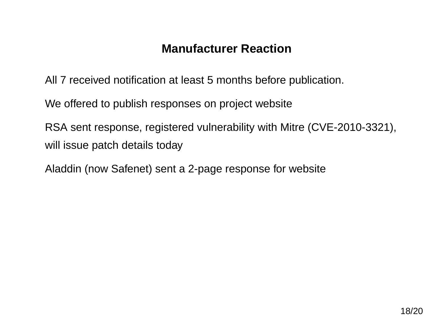All <sup>7</sup> received notification at least 5 months before publication.

We offered to publish responses on project website

RSA sent response, registered vulnerability with Mitre (CVE-2010-3321), will issue patch details today

Aladdin (now Safenet) sent <sup>a</sup> 2-page response for website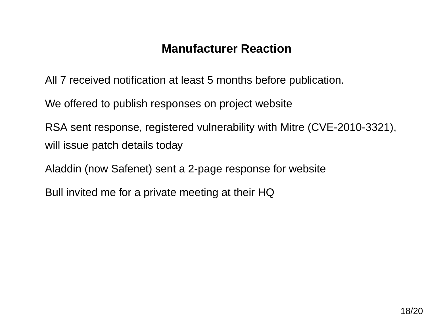All <sup>7</sup> received notification at least 5 months before publication.

We offered to publish responses on project website

RSA sent response, registered vulnerability with Mitre (CVE-2010-3321), will issue patch details today

Aladdin (now Safenet) sent <sup>a</sup> 2-page response for website

Bull invited me for <sup>a</sup> private meeting at their HQ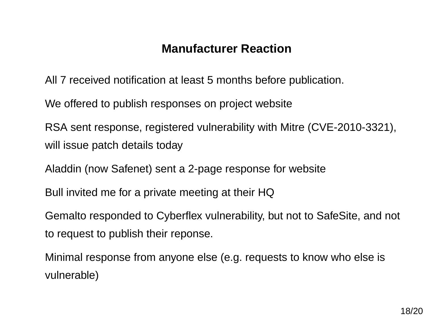All <sup>7</sup> received notification at least 5 months before publication.

We offered to publish responses on project website

RSA sent response, registered vulnerability with Mitre (CVE-2010-3321), will issue patch details today

Aladdin (now Safenet) sent <sup>a</sup> 2-page response for website

Bull invited me for <sup>a</sup> private meeting at their HQ

Gemalto responded to Cyberflex vulnerability, but not to SafeSite, and not to request to publish their reponse.

Minimal response from anyone else (e.g. requests to know who else isvulnerable)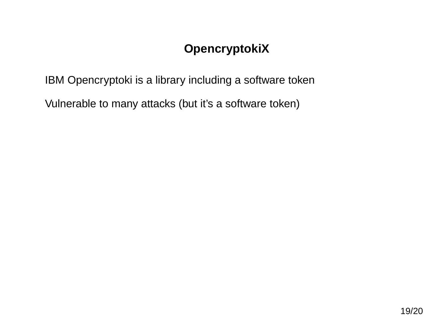# **OpencryptokiX**

IBM Opencryptoki is <sup>a</sup> library including <sup>a</sup> software token

Vulnerable to many attacks (but it's <sup>a</sup> software token)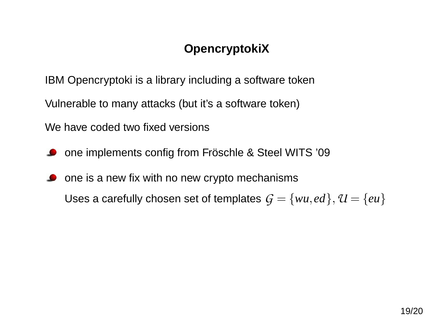# **OpencryptokiX**

IBM Opencryptoki is <sup>a</sup> library including <sup>a</sup> software token

Vulnerable to many attacks (but it's <sup>a</sup> software token)

We have coded two fixed versions

- one implements config from Fröschle & Steel WITS '09
- one is <sup>a</sup> new fix with no new crypto mechanisms $\bullet$ Uses a carefully chosen set of templates  $\mathcal{G} = \{wu,ed\}, \mathcal{U} = \{eu\}$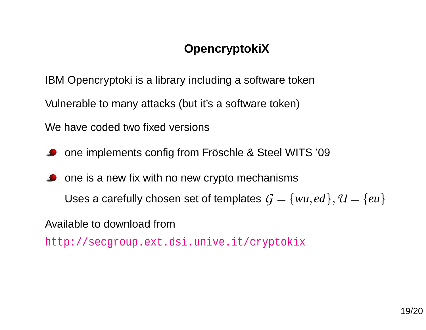# **OpencryptokiX**

IBM Opencryptoki is <sup>a</sup> library including <sup>a</sup> software token

Vulnerable to many attacks (but it's <sup>a</sup> software token)

We have coded two fixed versions

one implements config from Fröschle & Steel WITS '09

one is <sup>a</sup> new fix with no new crypto mechanismsUses a carefully chosen set of templates  $\mathcal{G} = \{wu,ed\}, \mathcal{U} = \{eu\}$ 

Available to download from

[http://secgroup](http://secgroup.ext.dsi.unive.it/cryptokix).[ext](http://secgroup.ext.dsi.unive.it/cryptokix).[dsi](http://secgroup.ext.dsi.unive.it/cryptokix).[unive](http://secgroup.ext.dsi.unive.it/cryptokix).[it/crypto](http://secgroup.ext.dsi.unive.it/cryptokix)kix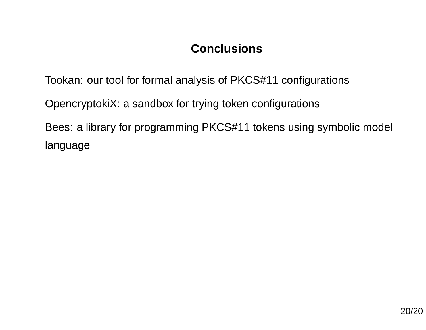Tookan: our tool for formal analysis of PKCS#11 configurations

OpencryptokiX: <sup>a</sup> sandbox for trying token configurations

Bees: <sup>a</sup> library for programming PKCS#11 tokens using symbolic model language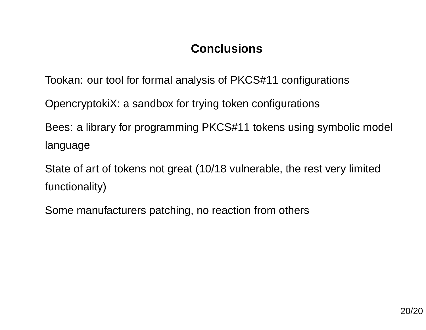Tookan: our tool for formal analysis of PKCS#11 configurations

OpencryptokiX: <sup>a</sup> sandbox for trying token configurations

Bees: <sup>a</sup> library for programming PKCS#11 tokens using symbolic model language

State of art of tokens not great (10/18 vulnerable, the rest very limitedfunctionality)

Some manufacturers patching, no reaction from others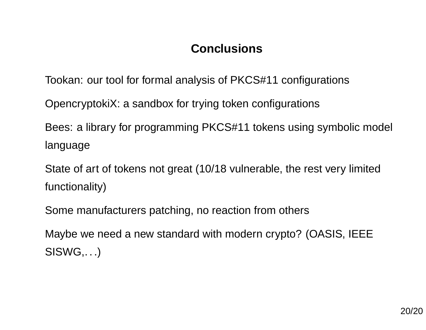Tookan: our tool for formal analysis of PKCS#11 configurations

OpencryptokiX: <sup>a</sup> sandbox for trying token configurations

Bees: <sup>a</sup> library for programming PKCS#11 tokens using symbolic model language

State of art of tokens not great (10/18 vulnerable, the rest very limitedfunctionality)

Some manufacturers patching, no reaction from others

Maybe we need <sup>a</sup> new standard with modern crypto? (OASIS, IEEESISWG,...)